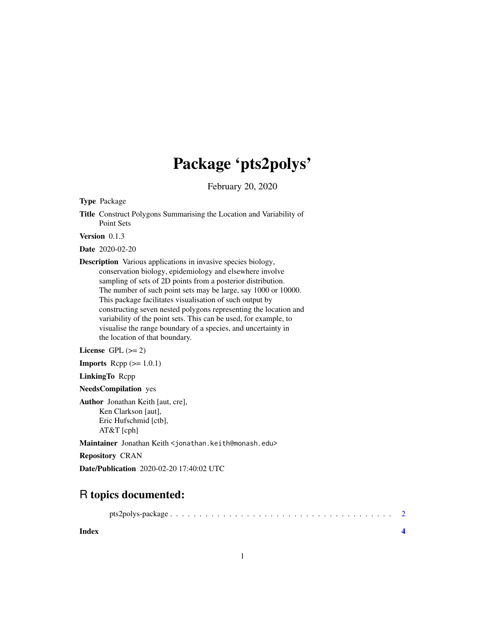## Package 'pts2polys'

February 20, 2020

Type Package

Title Construct Polygons Summarising the Location and Variability of Point Sets

Version 0.1.3

Date 2020-02-20

Description Various applications in invasive species biology, conservation biology, epidemiology and elsewhere involve sampling of sets of 2D points from a posterior distribution. The number of such point sets may be large, say 1000 or 10000. This package facilitates visualisation of such output by constructing seven nested polygons representing the location and variability of the point sets. This can be used, for example, to visualise the range boundary of a species, and uncertainty in the location of that boundary.

License GPL  $(>= 2)$ 

**Imports** Rcpp  $(>= 1.0.1)$ 

LinkingTo Rcpp

NeedsCompilation yes

Author Jonathan Keith [aut, cre], Ken Clarkson [aut], Eric Hufschmid [ctb], AT&T [cph]

Maintainer Jonathan Keith <jonathan.keith@monash.edu>

Repository CRAN

Date/Publication 2020-02-20 17:40:02 UTC

### R topics documented:

|--|--|--|

**Index** [4](#page-3-0)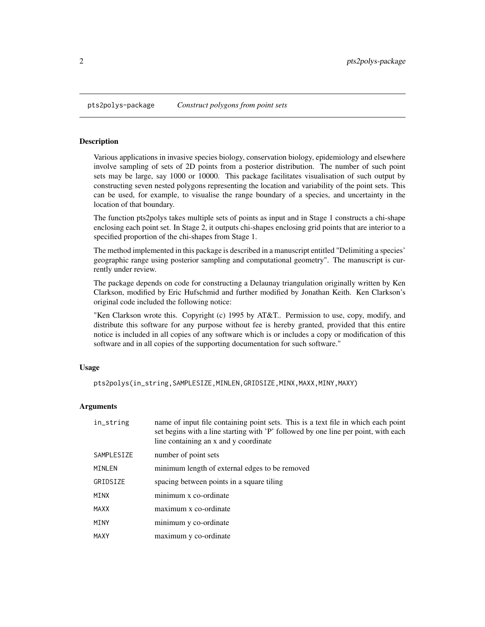<span id="page-1-0"></span>pts2polys-package *Construct polygons from point sets*

#### Description

Various applications in invasive species biology, conservation biology, epidemiology and elsewhere involve sampling of sets of 2D points from a posterior distribution. The number of such point sets may be large, say 1000 or 10000. This package facilitates visualisation of such output by constructing seven nested polygons representing the location and variability of the point sets. This can be used, for example, to visualise the range boundary of a species, and uncertainty in the location of that boundary.

The function pts2polys takes multiple sets of points as input and in Stage 1 constructs a chi-shape enclosing each point set. In Stage 2, it outputs chi-shapes enclosing grid points that are interior to a specified proportion of the chi-shapes from Stage 1.

The method implemented in this package is described in a manuscript entitled "Delimiting a species' geographic range using posterior sampling and computational geometry". The manuscript is currently under review.

The package depends on code for constructing a Delaunay triangulation originally written by Ken Clarkson, modified by Eric Hufschmid and further modified by Jonathan Keith. Ken Clarkson's original code included the following notice:

"Ken Clarkson wrote this. Copyright (c) 1995 by AT&T.. Permission to use, copy, modify, and distribute this software for any purpose without fee is hereby granted, provided that this entire notice is included in all copies of any software which is or includes a copy or modification of this software and in all copies of the supporting documentation for such software."

#### Usage

pts2polys(in\_string,SAMPLESIZE,MINLEN,GRIDSIZE,MINX,MAXX,MINY,MAXY)

#### Arguments

| in_string   | name of input file containing point sets. This is a text file in which each point<br>set begins with a line starting with 'P' followed by one line per point, with each<br>line containing an x and y coordinate |
|-------------|------------------------------------------------------------------------------------------------------------------------------------------------------------------------------------------------------------------|
| SAMPLESIZE  | number of point sets                                                                                                                                                                                             |
| MINLEN      | minimum length of external edges to be removed                                                                                                                                                                   |
| GRIDSIZE    | spacing between points in a square tiling                                                                                                                                                                        |
| MINX        | minimum x co-ordinate                                                                                                                                                                                            |
| <b>MAXX</b> | maximum x co-ordinate                                                                                                                                                                                            |
| MINY        | minimum y co-ordinate                                                                                                                                                                                            |
| MAXY        | maximum y co-ordinate                                                                                                                                                                                            |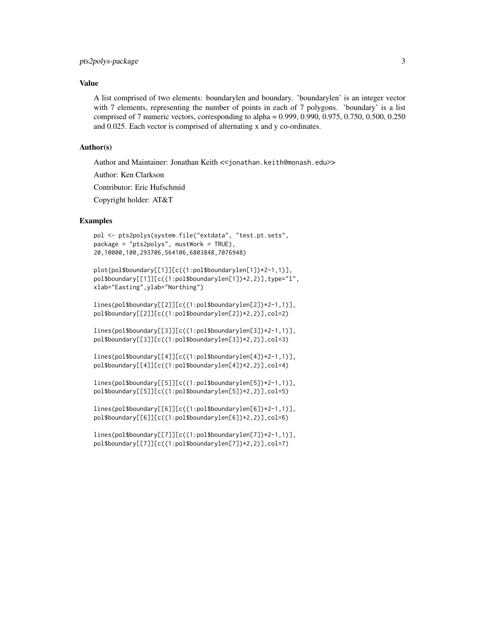#### Value

A list comprised of two elements: boundarylen and boundary. 'boundarylen' is an integer vector with 7 elements, representing the number of points in each of 7 polygons. 'boundary' is a list comprised of 7 numeric vectors, corresponding to alpha = 0.999, 0.990, 0.975, 0.750, 0.500, 0.250 and 0.025. Each vector is comprised of alternating x and y co-ordinates.

#### Author(s)

Author and Maintainer: Jonathan Keith << jonathan.keith@monash.edu>>

Author: Ken Clarkson

Contributor: Eric Hufschmid

Copyright holder: AT&T

#### Examples

```
pol <- pts2polys(system.file("extdata", "test.pt.sets",
package = "pts2polys", mustWork = TRUE),
20,10000,100,293706,564106,6803848,7076948)
```
plot(pol\$boundary[[1]][c((1:pol\$boundarylen[1])\*2-1,1)], pol\$boundary[[1]][c((1:pol\$boundarylen[1])\*2,2)],type="l", xlab="Easting",ylab="Northing")

lines(pol\$boundary[[2]][c((1:pol\$boundarylen[2])\*2-1,1)], pol\$boundary[[2]][c((1:pol\$boundarylen[2])\*2,2)],col=2)

lines(pol\$boundary[[3]][c((1:pol\$boundarylen[3])\*2-1,1)], pol\$boundary[[3]][c((1:pol\$boundarylen[3])\*2,2)],col=3)

lines(pol\$boundary[[4]][c((1:pol\$boundarylen[4])\*2-1,1)], pol\$boundary[[4]][c((1:pol\$boundarylen[4])\*2,2)],col=4)

lines(pol\$boundary[[5]][c((1:pol\$boundarylen[5])\*2-1,1)], pol\$boundary[[5]][c((1:pol\$boundarylen[5])\*2,2)],col=5)

lines(pol\$boundary[[6]][c((1:pol\$boundarylen[6])\*2-1,1)], pol\$boundary[[6]][c((1:pol\$boundarylen[6])\*2,2)],col=6)

lines(pol\$boundary[[7]][c((1:pol\$boundarylen[7])\*2-1,1)], pol\$boundary[[7]][c((1:pol\$boundarylen[7])\*2,2)],col=7)